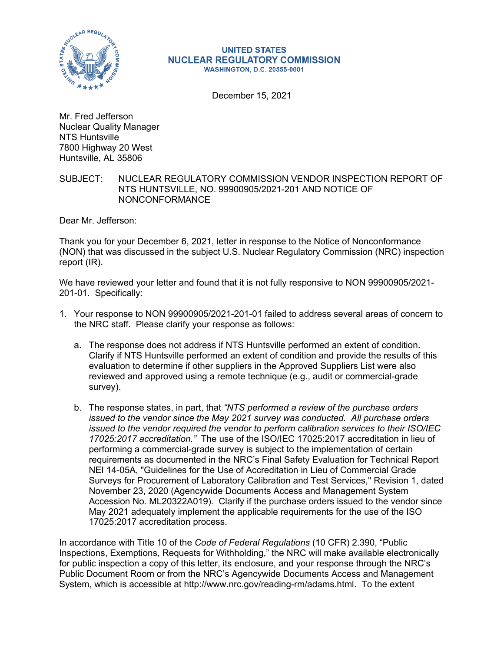

## **UNITED STATES NUCLEAR REGULATORY COMMISSION WASHINGTON, D.C. 20555-0001**

December 15, 2021

Mr. Fred Jefferson Nuclear Quality Manager NTS Huntsville 7800 Highway 20 West Huntsville, AL 35806

## SUBJECT: NUCLEAR REGULATORY COMMISSION VENDOR INSPECTION REPORT OF NTS HUNTSVILLE, NO. 99900905/2021-201 AND NOTICE OF NONCONFORMANCE

Dear Mr. Jefferson:

Thank you for your December 6, 2021, letter in response to the Notice of Nonconformance (NON) that was discussed in the subject U.S. Nuclear Regulatory Commission (NRC) inspection report (IR).

We have reviewed your letter and found that it is not fully responsive to NON 99900905/2021- 201-01. Specifically:

- 1. Your response to NON 99900905/2021-201-01 failed to address several areas of concern to the NRC staff. Please clarify your response as follows:
	- a. The response does not address if NTS Huntsville performed an extent of condition. Clarify if NTS Huntsville performed an extent of condition and provide the results of this evaluation to determine if other suppliers in the Approved Suppliers List were also reviewed and approved using a remote technique (e.g., audit or commercial-grade survey).
	- b. The response states, in part, that *"NTS performed a review of the purchase orders issued to the vendor since the May 2021 survey was conducted. All purchase orders issued to the vendor required the vendor to perform calibration services to their ISO/IEC 17025:2017 accreditation."* The use of the ISO/IEC 17025:2017 accreditation in lieu of performing a commercial-grade survey is subject to the implementation of certain requirements as documented in the NRC's Final Safety Evaluation for Technical Report NEI 14-05A, "Guidelines for the Use of Accreditation in Lieu of Commercial Grade Surveys for Procurement of Laboratory Calibration and Test Services," Revision 1, dated November 23, 2020 (Agencywide Documents Access and Management System Accession No. ML20322A019). Clarify if the purchase orders issued to the vendor since May 2021 adequately implement the applicable requirements for the use of the ISO 17025:2017 accreditation process.

In accordance with Title 10 of the *Code of Federal Regulations* (10 CFR) 2.390, "Public Inspections, Exemptions, Requests for Withholding," the NRC will make available electronically for public inspection a copy of this letter, its enclosure, and your response through the NRC's Public Document Room or from the NRC's Agencywide Documents Access and Management System, which is accessible at http://www.nrc.gov/reading-rm/adams.html. To the extent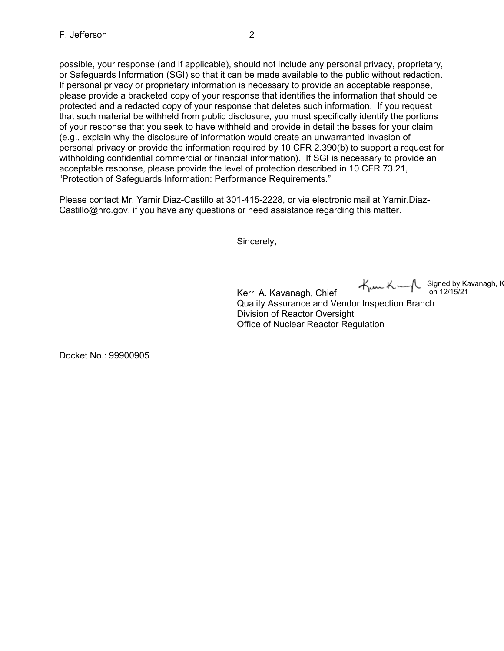possible, your response (and if applicable), should not include any personal privacy, proprietary, or Safeguards Information (SGI) so that it can be made available to the public without redaction. If personal privacy or proprietary information is necessary to provide an acceptable response, please provide a bracketed copy of your response that identifies the information that should be protected and a redacted copy of your response that deletes such information. If you request that such material be withheld from public disclosure, you must specifically identify the portions of your response that you seek to have withheld and provide in detail the bases for your claim (e.g., explain why the disclosure of information would create an unwarranted invasion of personal privacy or provide the information required by 10 CFR 2.390(b) to support a request for withholding confidential commercial or financial information). If SGI is necessary to provide an acceptable response, please provide the level of protection described in 10 CFR 73.21, "Protection of Safeguards Information: Performance Requirements."

Please contact Mr. Yamir Diaz-Castillo at 301-415-2228, or via electronic mail at Yamir.Diaz-Castillo@nrc.gov, if you have any questions or need assistance regarding this matter.

Sincerely,

Signed by Kavanagh, K on 12/15/21

Kerri A. Kavanagh, Chief Quality Assurance and Vendor Inspection Branch Division of Reactor Oversight Office of Nuclear Reactor Regulation

Docket No.: 99900905